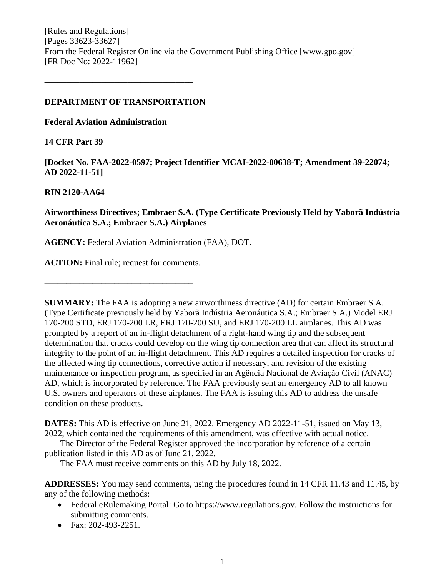# **DEPARTMENT OF TRANSPORTATION**

**––––––––––––––––––––––––––––––––––**

**Federal Aviation Administration**

# **14 CFR Part 39**

**[Docket No. FAA-2022-0597; Project Identifier MCAI-2022-00638-T; Amendment 39-22074; AD 2022-11-51]**

## **RIN 2120-AA64**

# **Airworthiness Directives; Embraer S.A. (Type Certificate Previously Held by Yaborã Indústria Aeronáutica S.A.; Embraer S.A.) Airplanes**

**AGENCY:** Federal Aviation Administration (FAA), DOT.

**ACTION:** Final rule; request for comments.

**––––––––––––––––––––––––––––––––––**

**SUMMARY:** The FAA is adopting a new airworthiness directive (AD) for certain Embraer S.A. (Type Certificate previously held by Yaborã Indústria Aeronáutica S.A.; Embraer S.A.) Model ERJ 170-200 STD, ERJ 170-200 LR, ERJ 170-200 SU, and ERJ 170-200 LL airplanes. This AD was prompted by a report of an in-flight detachment of a right-hand wing tip and the subsequent determination that cracks could develop on the wing tip connection area that can affect its structural integrity to the point of an in-flight detachment. This AD requires a detailed inspection for cracks of the affected wing tip connections, corrective action if necessary, and revision of the existing maintenance or inspection program, as specified in an Agência Nacional de Aviação Civil (ANAC) AD, which is incorporated by reference. The FAA previously sent an emergency AD to all known U.S. owners and operators of these airplanes. The FAA is issuing this AD to address the unsafe condition on these products.

**DATES:** This AD is effective on June 21, 2022. Emergency AD 2022-11-51, issued on May 13, 2022, which contained the requirements of this amendment, was effective with actual notice.

The Director of the Federal Register approved the incorporation by reference of a certain publication listed in this AD as of June 21, 2022.

The FAA must receive comments on this AD by July 18, 2022.

**ADDRESSES:** You may send comments, using the procedures found in 14 CFR 11.43 and 11.45, by any of the following methods:

- Federal eRulemaking Portal: Go to https://www.regulations.gov. Follow the instructions for submitting comments.
- Fax: 202-493-2251.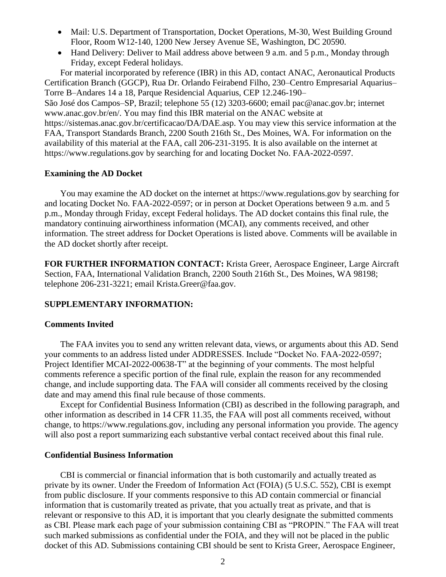- Mail: U.S. Department of Transportation, Docket Operations, M-30, West Building Ground Floor, Room W12-140, 1200 New Jersey Avenue SE, Washington, DC 20590.
- Hand Delivery: Deliver to Mail address above between 9 a.m. and 5 p.m., Monday through Friday, except Federal holidays.

For material incorporated by reference (IBR) in this AD, contact ANAC, Aeronautical Products Certification Branch (GGCP), Rua Dr. Orlando Feirabend Filho, 230–Centro Empresarial Aquarius– Torre B–Andares 14 a 18, Parque Residencial Aquarius, CEP 12.246-190–

São José dos Campos–SP, Brazil; telephone 55 (12) 3203-6600; email pac@anac.gov.br; internet www.anac.gov.br/en/. You may find this IBR material on the ANAC website at https://sistemas.anac.gov.br/certificacao/DA/DAE.asp. You may view this service information at the FAA, Transport Standards Branch, 2200 South 216th St., Des Moines, WA. For information on the availability of this material at the FAA, call 206-231-3195. It is also available on the internet at https://www.regulations.gov by searching for and locating Docket No. FAA-2022-0597.

#### **Examining the AD Docket**

You may examine the AD docket on the internet at https://www.regulations.gov by searching for and locating Docket No. FAA-2022-0597; or in person at Docket Operations between 9 a.m. and 5 p.m., Monday through Friday, except Federal holidays. The AD docket contains this final rule, the mandatory continuing airworthiness information (MCAI), any comments received, and other information. The street address for Docket Operations is listed above. Comments will be available in the AD docket shortly after receipt.

**FOR FURTHER INFORMATION CONTACT:** Krista Greer, Aerospace Engineer, Large Aircraft Section, FAA, International Validation Branch, 2200 South 216th St., Des Moines, WA 98198; telephone 206-231-3221; email Krista.Greer@faa.gov.

### **SUPPLEMENTARY INFORMATION:**

### **Comments Invited**

The FAA invites you to send any written relevant data, views, or arguments about this AD. Send your comments to an address listed under ADDRESSES. Include "Docket No. FAA-2022-0597; Project Identifier MCAI-2022-00638-T" at the beginning of your comments. The most helpful comments reference a specific portion of the final rule, explain the reason for any recommended change, and include supporting data. The FAA will consider all comments received by the closing date and may amend this final rule because of those comments.

Except for Confidential Business Information (CBI) as described in the following paragraph, and other information as described in 14 CFR 11.35, the FAA will post all comments received, without change, to https://www.regulations.gov, including any personal information you provide. The agency will also post a report summarizing each substantive verbal contact received about this final rule.

# **Confidential Business Information**

CBI is commercial or financial information that is both customarily and actually treated as private by its owner. Under the Freedom of Information Act (FOIA) (5 U.S.C. 552), CBI is exempt from public disclosure. If your comments responsive to this AD contain commercial or financial information that is customarily treated as private, that you actually treat as private, and that is relevant or responsive to this AD, it is important that you clearly designate the submitted comments as CBI. Please mark each page of your submission containing CBI as "PROPIN." The FAA will treat such marked submissions as confidential under the FOIA, and they will not be placed in the public docket of this AD. Submissions containing CBI should be sent to Krista Greer, Aerospace Engineer,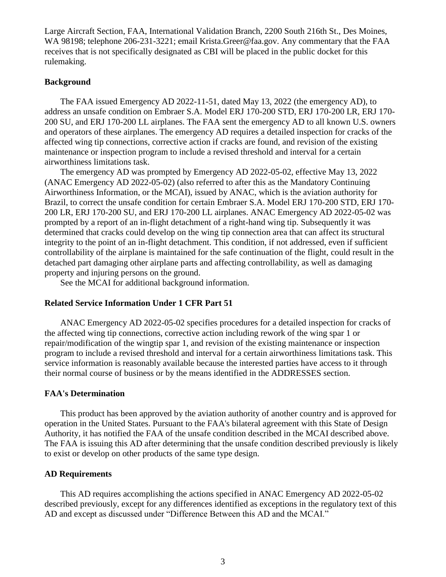Large Aircraft Section, FAA, International Validation Branch, 2200 South 216th St., Des Moines, WA 98198; telephone 206-231-3221; email Krista.Greer@faa.gov. Any commentary that the FAA receives that is not specifically designated as CBI will be placed in the public docket for this rulemaking.

## **Background**

The FAA issued Emergency AD 2022-11-51, dated May 13, 2022 (the emergency AD), to address an unsafe condition on Embraer S.A. Model ERJ 170-200 STD, ERJ 170-200 LR, ERJ 170- 200 SU, and ERJ 170-200 LL airplanes. The FAA sent the emergency AD to all known U.S. owners and operators of these airplanes. The emergency AD requires a detailed inspection for cracks of the affected wing tip connections, corrective action if cracks are found, and revision of the existing maintenance or inspection program to include a revised threshold and interval for a certain airworthiness limitations task.

The emergency AD was prompted by Emergency AD 2022-05-02, effective May 13, 2022 (ANAC Emergency AD 2022-05-02) (also referred to after this as the Mandatory Continuing Airworthiness Information, or the MCAI), issued by ANAC, which is the aviation authority for Brazil, to correct the unsafe condition for certain Embraer S.A. Model ERJ 170-200 STD, ERJ 170- 200 LR, ERJ 170-200 SU, and ERJ 170-200 LL airplanes. ANAC Emergency AD 2022-05-02 was prompted by a report of an in-flight detachment of a right-hand wing tip. Subsequently it was determined that cracks could develop on the wing tip connection area that can affect its structural integrity to the point of an in-flight detachment. This condition, if not addressed, even if sufficient controllability of the airplane is maintained for the safe continuation of the flight, could result in the detached part damaging other airplane parts and affecting controllability, as well as damaging property and injuring persons on the ground.

See the MCAI for additional background information.

### **Related Service Information Under 1 CFR Part 51**

ANAC Emergency AD 2022-05-02 specifies procedures for a detailed inspection for cracks of the affected wing tip connections, corrective action including rework of the wing spar 1 or repair/modification of the wingtip spar 1, and revision of the existing maintenance or inspection program to include a revised threshold and interval for a certain airworthiness limitations task. This service information is reasonably available because the interested parties have access to it through their normal course of business or by the means identified in the ADDRESSES section.

# **FAA's Determination**

This product has been approved by the aviation authority of another country and is approved for operation in the United States. Pursuant to the FAA's bilateral agreement with this State of Design Authority, it has notified the FAA of the unsafe condition described in the MCAI described above. The FAA is issuing this AD after determining that the unsafe condition described previously is likely to exist or develop on other products of the same type design.

### **AD Requirements**

This AD requires accomplishing the actions specified in ANAC Emergency AD 2022-05-02 described previously, except for any differences identified as exceptions in the regulatory text of this AD and except as discussed under "Difference Between this AD and the MCAI."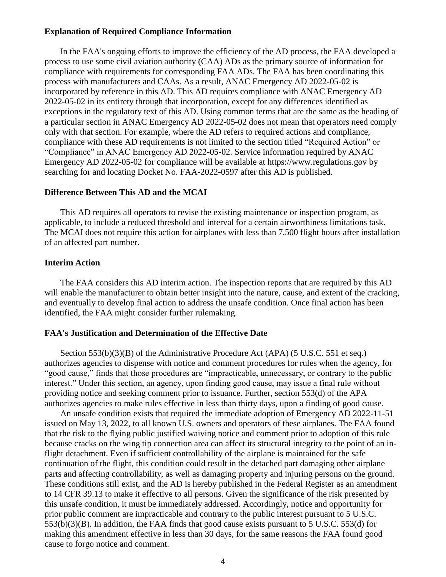#### **Explanation of Required Compliance Information**

In the FAA's ongoing efforts to improve the efficiency of the AD process, the FAA developed a process to use some civil aviation authority (CAA) ADs as the primary source of information for compliance with requirements for corresponding FAA ADs. The FAA has been coordinating this process with manufacturers and CAAs. As a result, ANAC Emergency AD 2022-05-02 is incorporated by reference in this AD. This AD requires compliance with ANAC Emergency AD 2022-05-02 in its entirety through that incorporation, except for any differences identified as exceptions in the regulatory text of this AD. Using common terms that are the same as the heading of a particular section in ANAC Emergency AD 2022-05-02 does not mean that operators need comply only with that section. For example, where the AD refers to required actions and compliance, compliance with these AD requirements is not limited to the section titled "Required Action" or "Compliance" in ANAC Emergency AD 2022-05-02. Service information required by ANAC Emergency AD 2022-05-02 for compliance will be available at https://www.regulations.gov by searching for and locating Docket No. FAA-2022-0597 after this AD is published.

## **Difference Between This AD and the MCAI**

This AD requires all operators to revise the existing maintenance or inspection program, as applicable, to include a reduced threshold and interval for a certain airworthiness limitations task. The MCAI does not require this action for airplanes with less than 7,500 flight hours after installation of an affected part number.

#### **Interim Action**

The FAA considers this AD interim action. The inspection reports that are required by this AD will enable the manufacturer to obtain better insight into the nature, cause, and extent of the cracking, and eventually to develop final action to address the unsafe condition. Once final action has been identified, the FAA might consider further rulemaking.

# **FAA's Justification and Determination of the Effective Date**

Section 553(b)(3)(B) of the Administrative Procedure Act (APA) (5 U.S.C. 551 et seq.) authorizes agencies to dispense with notice and comment procedures for rules when the agency, for "good cause," finds that those procedures are "impracticable, unnecessary, or contrary to the public interest." Under this section, an agency, upon finding good cause, may issue a final rule without providing notice and seeking comment prior to issuance. Further, section 553(d) of the APA authorizes agencies to make rules effective in less than thirty days, upon a finding of good cause.

An unsafe condition exists that required the immediate adoption of Emergency AD 2022-11-51 issued on May 13, 2022, to all known U.S. owners and operators of these airplanes. The FAA found that the risk to the flying public justified waiving notice and comment prior to adoption of this rule because cracks on the wing tip connection area can affect its structural integrity to the point of an inflight detachment. Even if sufficient controllability of the airplane is maintained for the safe continuation of the flight, this condition could result in the detached part damaging other airplane parts and affecting controllability, as well as damaging property and injuring persons on the ground. These conditions still exist, and the AD is hereby published in the Federal Register as an amendment to 14 CFR 39.13 to make it effective to all persons. Given the significance of the risk presented by this unsafe condition, it must be immediately addressed. Accordingly, notice and opportunity for prior public comment are impracticable and contrary to the public interest pursuant to 5 U.S.C. 553(b)(3)(B). In addition, the FAA finds that good cause exists pursuant to 5 U.S.C. 553(d) for making this amendment effective in less than 30 days, for the same reasons the FAA found good cause to forgo notice and comment.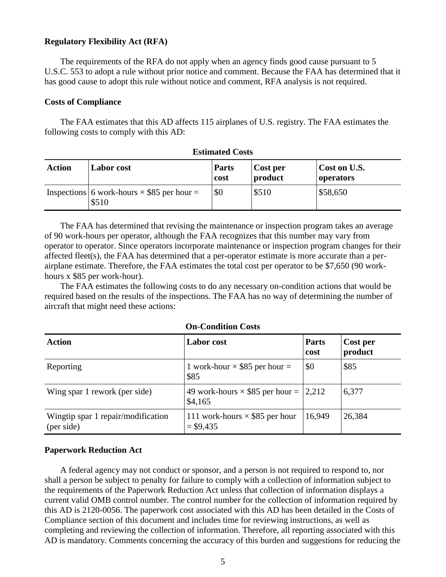### **Regulatory Flexibility Act (RFA)**

The requirements of the RFA do not apply when an agency finds good cause pursuant to 5 U.S.C. 553 to adopt a rule without prior notice and comment. Because the FAA has determined that it has good cause to adopt this rule without notice and comment, RFA analysis is not required.

#### **Costs of Compliance**

The FAA estimates that this AD affects 115 airplanes of U.S. registry. The FAA estimates the following costs to comply with this AD:

| <b>Action</b> | <b>Labor</b> cost                                          | <b>Parts</b><br>cost | Cost per<br>product | Cost on U.S.<br>operators |
|---------------|------------------------------------------------------------|----------------------|---------------------|---------------------------|
|               | Inspections 6 work-hours $\times$ \$85 per hour =<br>\$510 | \$0                  | \$510               | \$58,650                  |

**Estimated Costs**

The FAA has determined that revising the maintenance or inspection program takes an average of 90 work-hours per operator, although the FAA recognizes that this number may vary from operator to operator. Since operators incorporate maintenance or inspection program changes for their affected fleet(s), the FAA has determined that a per-operator estimate is more accurate than a perairplane estimate. Therefore, the FAA estimates the total cost per operator to be \$7,650 (90 workhours x \$85 per work-hour).

The FAA estimates the following costs to do any necessary on-condition actions that would be required based on the results of the inspections. The FAA has no way of determining the number of aircraft that might need these actions:

| <b>Action</b>                                    | <b>Labor</b> cost                                   | <b>Parts</b><br>cost | <b>Cost per</b><br>product |
|--------------------------------------------------|-----------------------------------------------------|----------------------|----------------------------|
| Reporting                                        | 1 work-hour $\times$ \$85 per hour =<br>\$85        | \$0                  | \$85                       |
| Wing spar 1 rework (per side)                    | 49 work-hours $\times$ \$85 per hour =  <br>\$4,165 | 2,212                | 6,377                      |
| Wingtip spar 1 repair/modification<br>(per side) | 111 work-hours $\times$ \$85 per hour<br>$= $9,435$ | 16,949               | 26,384                     |

#### **On-Condition Costs**

#### **Paperwork Reduction Act**

A federal agency may not conduct or sponsor, and a person is not required to respond to, nor shall a person be subject to penalty for failure to comply with a collection of information subject to the requirements of the Paperwork Reduction Act unless that collection of information displays a current valid OMB control number. The control number for the collection of information required by this AD is 2120-0056. The paperwork cost associated with this AD has been detailed in the Costs of Compliance section of this document and includes time for reviewing instructions, as well as completing and reviewing the collection of information. Therefore, all reporting associated with this AD is mandatory. Comments concerning the accuracy of this burden and suggestions for reducing the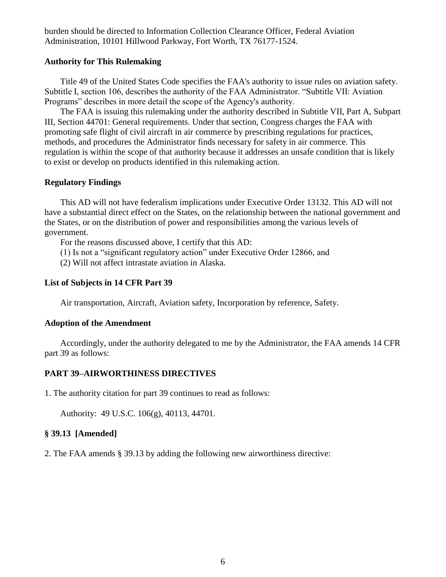burden should be directed to Information Collection Clearance Officer, Federal Aviation Administration, 10101 Hillwood Parkway, Fort Worth, TX 76177-1524.

### **Authority for This Rulemaking**

Title 49 of the United States Code specifies the FAA's authority to issue rules on aviation safety. Subtitle I, section 106, describes the authority of the FAA Administrator. "Subtitle VII: Aviation Programs" describes in more detail the scope of the Agency's authority.

The FAA is issuing this rulemaking under the authority described in Subtitle VII, Part A, Subpart III, Section 44701: General requirements. Under that section, Congress charges the FAA with promoting safe flight of civil aircraft in air commerce by prescribing regulations for practices, methods, and procedures the Administrator finds necessary for safety in air commerce. This regulation is within the scope of that authority because it addresses an unsafe condition that is likely to exist or develop on products identified in this rulemaking action.

### **Regulatory Findings**

This AD will not have federalism implications under Executive Order 13132. This AD will not have a substantial direct effect on the States, on the relationship between the national government and the States, or on the distribution of power and responsibilities among the various levels of government.

For the reasons discussed above, I certify that this AD:

(1) Is not a "significant regulatory action" under Executive Order 12866, and

(2) Will not affect intrastate aviation in Alaska.

#### **List of Subjects in 14 CFR Part 39**

Air transportation, Aircraft, Aviation safety, Incorporation by reference, Safety.

#### **Adoption of the Amendment**

Accordingly, under the authority delegated to me by the Administrator, the FAA amends 14 CFR part 39 as follows:

## **PART 39–AIRWORTHINESS DIRECTIVES**

1. The authority citation for part 39 continues to read as follows:

Authority: 49 U.S.C. 106(g), 40113, 44701.

# **§ 39.13 [Amended]**

2. The FAA amends § 39.13 by adding the following new airworthiness directive: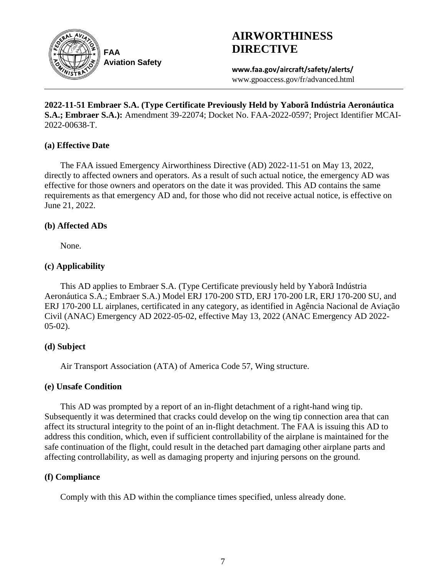

**AIRWORTHINESS DIRECTIVE**

**www.faa.gov/aircraft/safety/alerts/** www.gpoaccess.gov/fr/advanced.html

**2022-11-51 Embraer S.A. (Type Certificate Previously Held by Yaborã Indústria Aeronáutica S.A.; Embraer S.A.):** Amendment 39-22074; Docket No. FAA-2022-0597; Project Identifier MCAI-2022-00638-T.

# **(a) Effective Date**

The FAA issued Emergency Airworthiness Directive (AD) 2022-11-51 on May 13, 2022, directly to affected owners and operators. As a result of such actual notice, the emergency AD was effective for those owners and operators on the date it was provided. This AD contains the same requirements as that emergency AD and, for those who did not receive actual notice, is effective on June 21, 2022.

# **(b) Affected ADs**

None.

# **(c) Applicability**

This AD applies to Embraer S.A. (Type Certificate previously held by Yaborã Indústria Aeronáutica S.A.; Embraer S.A.) Model ERJ 170-200 STD, ERJ 170-200 LR, ERJ 170-200 SU, and ERJ 170-200 LL airplanes, certificated in any category, as identified in Agência Nacional de Aviação Civil (ANAC) Emergency AD 2022-05-02, effective May 13, 2022 (ANAC Emergency AD 2022- 05-02).

# **(d) Subject**

Air Transport Association (ATA) of America Code 57, Wing structure.

# **(e) Unsafe Condition**

This AD was prompted by a report of an in-flight detachment of a right-hand wing tip. Subsequently it was determined that cracks could develop on the wing tip connection area that can affect its structural integrity to the point of an in-flight detachment. The FAA is issuing this AD to address this condition, which, even if sufficient controllability of the airplane is maintained for the safe continuation of the flight, could result in the detached part damaging other airplane parts and affecting controllability, as well as damaging property and injuring persons on the ground.

# **(f) Compliance**

Comply with this AD within the compliance times specified, unless already done.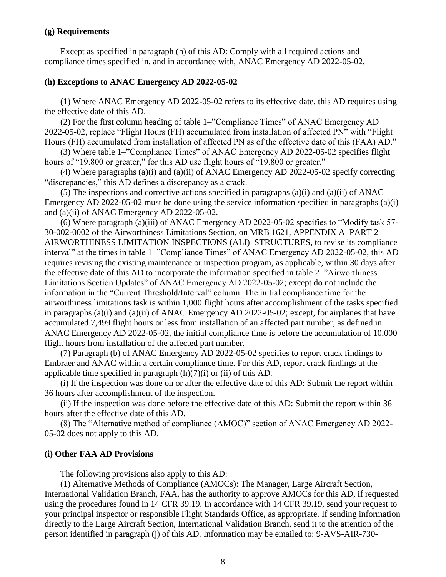## **(g) Requirements**

Except as specified in paragraph (h) of this AD: Comply with all required actions and compliance times specified in, and in accordance with, ANAC Emergency AD 2022-05-02.

### **(h) Exceptions to ANAC Emergency AD 2022-05-02**

(1) Where ANAC Emergency AD 2022-05-02 refers to its effective date, this AD requires using the effective date of this AD.

(2) For the first column heading of table 1–"Compliance Times" of ANAC Emergency AD 2022-05-02, replace "Flight Hours (FH) accumulated from installation of affected PN" with "Flight Hours (FH) accumulated from installation of affected PN as of the effective date of this (FAA) AD."

(3) Where table 1–"Compliance Times" of ANAC Emergency AD 2022-05-02 specifies flight hours of "19.800 or greater," for this AD use flight hours of "19.800 or greater."

(4) Where paragraphs (a)(i) and (a)(ii) of ANAC Emergency AD 2022-05-02 specify correcting "discrepancies," this AD defines a discrepancy as a crack.

(5) The inspections and corrective actions specified in paragraphs (a)(i) and (a)(ii) of ANAC Emergency AD 2022-05-02 must be done using the service information specified in paragraphs (a)(i) and (a)(ii) of ANAC Emergency AD 2022-05-02.

(6) Where paragraph (a)(iii) of ANAC Emergency AD 2022-05-02 specifies to "Modify task 57- 30-002-0002 of the Airworthiness Limitations Section, on MRB 1621, APPENDIX A–PART 2– AIRWORTHINESS LIMITATION INSPECTIONS (ALI)–STRUCTURES, to revise its compliance interval" at the times in table 1–"Compliance Times" of ANAC Emergency AD 2022-05-02, this AD requires revising the existing maintenance or inspection program, as applicable, within 30 days after the effective date of this AD to incorporate the information specified in table 2–"Airworthiness Limitations Section Updates" of ANAC Emergency AD 2022-05-02; except do not include the information in the "Current Threshold/Interval" column. The initial compliance time for the airworthiness limitations task is within 1,000 flight hours after accomplishment of the tasks specified in paragraphs (a)(i) and (a)(ii) of ANAC Emergency AD 2022-05-02; except, for airplanes that have accumulated 7,499 flight hours or less from installation of an affected part number, as defined in ANAC Emergency AD 2022-05-02, the initial compliance time is before the accumulation of 10,000 flight hours from installation of the affected part number.

(7) Paragraph (b) of ANAC Emergency AD 2022-05-02 specifies to report crack findings to Embraer and ANAC within a certain compliance time. For this AD, report crack findings at the applicable time specified in paragraph (h)(7)(i) or (ii) of this AD.

(i) If the inspection was done on or after the effective date of this AD: Submit the report within 36 hours after accomplishment of the inspection.

(ii) If the inspection was done before the effective date of this AD: Submit the report within 36 hours after the effective date of this AD.

(8) The "Alternative method of compliance (AMOC)" section of ANAC Emergency AD 2022- 05-02 does not apply to this AD.

# **(i) Other FAA AD Provisions**

The following provisions also apply to this AD:

(1) Alternative Methods of Compliance (AMOCs): The Manager, Large Aircraft Section, International Validation Branch, FAA, has the authority to approve AMOCs for this AD, if requested using the procedures found in 14 CFR 39.19. In accordance with 14 CFR 39.19, send your request to your principal inspector or responsible Flight Standards Office, as appropriate. If sending information directly to the Large Aircraft Section, International Validation Branch, send it to the attention of the person identified in paragraph (j) of this AD. Information may be emailed to: 9-AVS-AIR-730